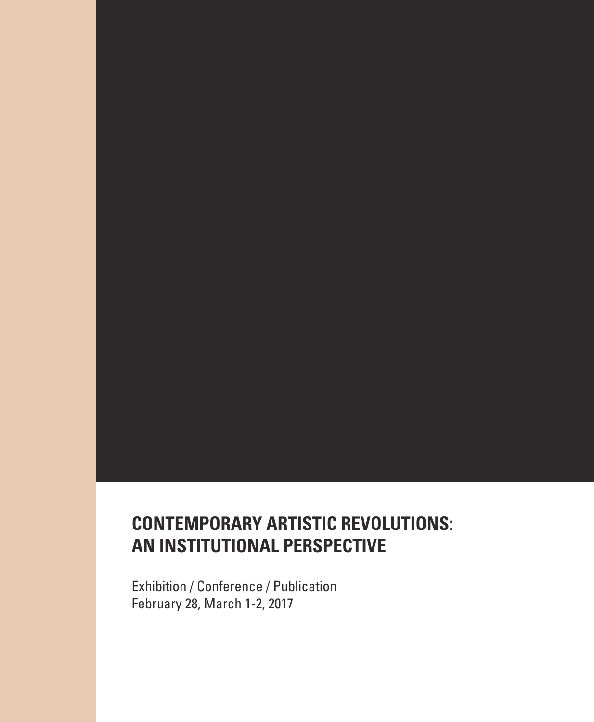# **CONTEMPORARY ARTISTIC REVOLUTIONS: AN INSTITUTIONAL PERSPECTIVE**

Exhibition / Conference / Publication February 28, March 1-2, 2017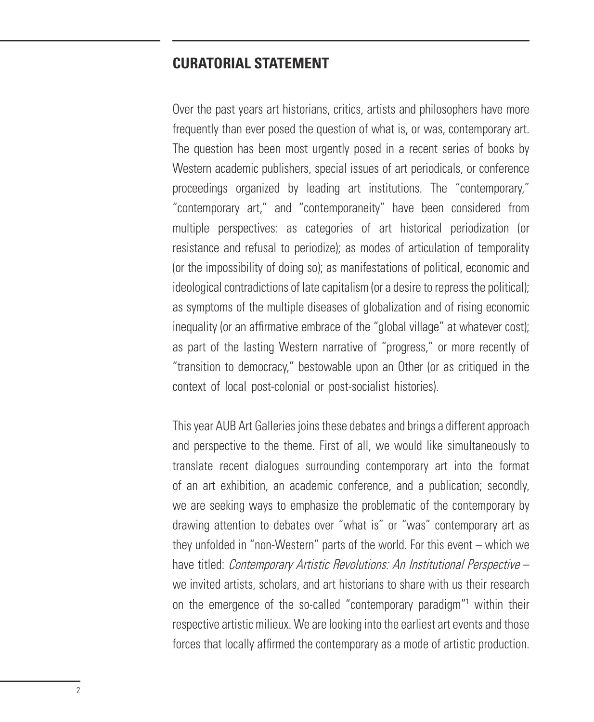### **CURATORIAL STATEMENT**

Over the past years art historians, critics, artists and philosophers have more frequently than ever posed the question of what is, or was, contemporary art. The question has been most urgently posed in a recent series of books by Western academic publishers, special issues of art periodicals, or conference proceedings organized by leading art institutions. The "contemporary," "contemporary art," and "contemporaneity" have been considered from multiple perspectives: as categories of art historical periodization (or resistance and refusal to periodize); as modes of articulation of temporality (or the impossibility of doing so); as manifestations of political, economic and ideological contradictions of late capitalism (or a desire to repress the political); as symptoms of the multiple diseases of globalization and of rising economic inequality (or an affirmative embrace of the "global village" at whatever cost): as part of the lasting Western narrative of "progress," or more recently of "transition to democracy," bestowable upon an Other (or as critiqued in the context of local post-colonial or post-socialist histories).

This year AUB Art Galleries joins these debates and brings a different approach and perspective to the theme. First of all, we would like simultaneously to translate recent dialogues surrounding contemporary art into the format of an art exhibition, an academic conference, and a publication; secondly, we are seeking ways to emphasize the problematic of the contemporary by drawing attention to debates over "what is" or "was" contemporary art as they unfolded in "non-Western" parts of the world. For this event – which we have titled: *Contemporary Artistic Revolutions: An Institutional Perspective –* we invited artists, scholars, and art historians to share with us their research on the emergence of the so-called "contemporary paradigm"<sup>1</sup> within their respective artistic milieux. We are looking into the earliest art events and those forces that locally affrmed the contemporary as a mode of artistic production.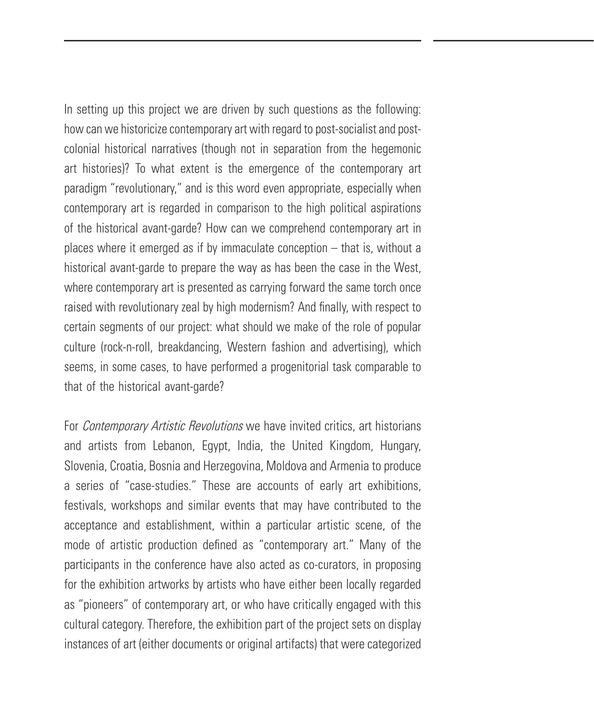In setting up this project we are driven by such questions as the following: how can we historicize contemporary art with regard to post-socialist and postcolonial historical narratives (though not in separation from the hegemonic art histories)? To what extent is the emergence of the contemporary art paradigm "revolutionary," and is this word even appropriate, especially when contemporary art is regarded in comparison to the high political aspirations of the historical avant-garde? How can we comprehend contemporary art in places where it emerged as if by immaculate conception – that is, without a historical avant-garde to prepare the way as has been the case in the West, where contemporary art is presented as carrying forward the same torch once raised with revolutionary zeal by high modernism? And fnally, with respect to certain segments of our project: what should we make of the role of popular culture (rock-n-roll, breakdancing, Western fashion and advertising), which seems, in some cases, to have performed a progenitorial task comparable to that of the historical avant-garde?

For *Contemporary Artistic Revolutions* we have invited critics, art historians and artists from Lebanon, Egypt, India, the United Kingdom, Hungary, Slovenia, Croatia, Bosnia and Herzegovina, Moldova and Armenia to produce a series of "case-studies." These are accounts of early art exhibitions, festivals, workshops and similar events that may have contributed to the acceptance and establishment, within a particular artistic scene, of the mode of artistic production defned as "contemporary art." Many of the participants in the conference have also acted as co-curators, in proposing for the exhibition artworks by artists who have either been locally regarded as "pioneers" of contemporary art, or who have critically engaged with this cultural category. Therefore, the exhibition part of the project sets on display instances of art (either documents or original artifacts) that were categorized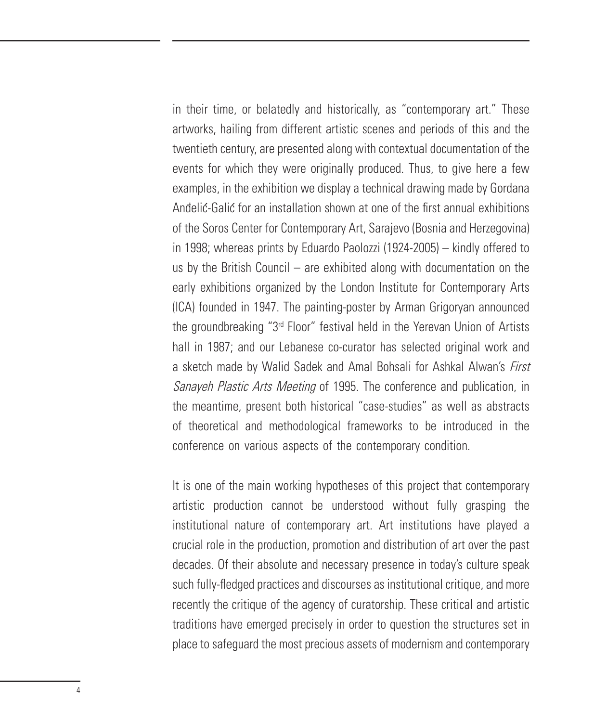in their time, or belatedly and historically, as "contemporary art." These artworks, hailing from different artistic scenes and periods of this and the twentieth century, are presented along with contextual documentation of the events for which they were originally produced. Thus, to give here a few examples, in the exhibition we display a technical drawing made by Gordana Andelic-Galic for an installation shown at one of the frst annual exhibitions of the Soros Center for Contemporary Art, Sarajevo (Bosnia and Herzegovina) in 1998; whereas prints by Eduardo Paolozzi (1924-2005) – kindly offered to us by the British Council – are exhibited along with documentation on the early exhibitions organized by the London Institute for Contemporary Arts (ICA) founded in 1947. The painting-poster by Arman Grigoryan announced the groundbreaking "3rd Floor" festival held in the Yerevan Union of Artists hall in 1987; and our Lebanese co-curator has selected original work and a sketch made by Walid Sadek and Amal Bohsali for Ashkal Alwan's First Sanayeh Plastic Arts Meeting of 1995. The conference and publication, in the meantime, present both historical "case-studies" as well as abstracts of theoretical and methodological frameworks to be introduced in the conference on various aspects of the contemporary condition.

It is one of the main working hypotheses of this project that contemporary artistic production cannot be understood without fully grasping the institutional nature of contemporary art. Art institutions have played a crucial role in the production, promotion and distribution of art over the past decades. Of their absolute and necessary presence in today's culture speak such fully-fedged practices and discourses as institutional critique, and more recently the critique of the agency of curatorship. These critical and artistic traditions have emerged precisely in order to question the structures set in place to safeguard the most precious assets of modernism and contemporary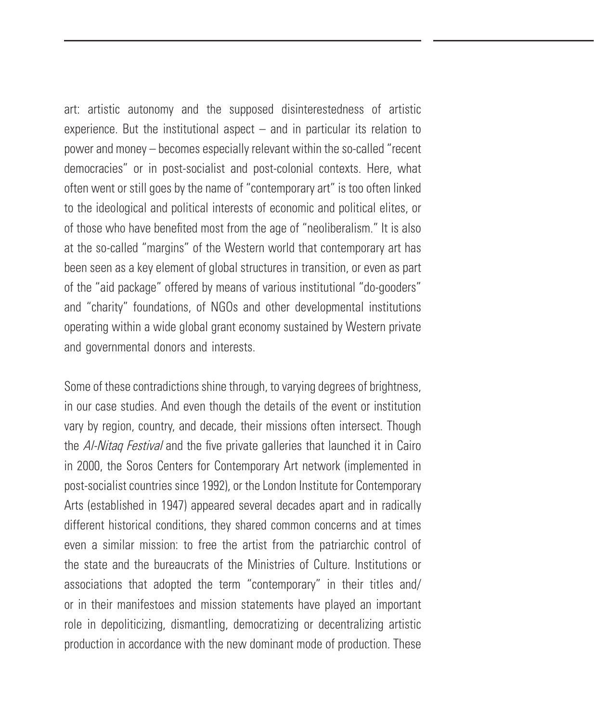art: artistic autonomy and the supposed disinterestedness of artistic experience. But the institutional aspect – and in particular its relation to power and money – becomes especially relevant within the so-called "recent democracies" or in post-socialist and post-colonial contexts. Here, what often went or still goes by the name of "contemporary art" is too often linked to the ideological and political interests of economic and political elites, or of those who have benefted most from the age of "neoliberalism." It is also at the so-called "margins" of the Western world that contemporary art has been seen as a key element of global structures in transition, or even as part of the "aid package" offered by means of various institutional "do-gooders" and "charity" foundations, of NGOs and other developmental institutions operating within a wide global grant economy sustained by Western private and governmental donors and interests.

Some of these contradictions shine through, to varying degrees of brightness, in our case studies. And even though the details of the event or institution vary by region, country, and decade, their missions often intersect. Though the Al-Nitag Festival and the five private galleries that launched it in Cairo in 2000, the Soros Centers for Contemporary Art network (implemented in post-socialist countries since 1992), or the London Institute for Contemporary Arts (established in 1947) appeared several decades apart and in radically different historical conditions, they shared common concerns and at times even a similar mission: to free the artist from the patriarchic control of the state and the bureaucrats of the Ministries of Culture. Institutions or associations that adopted the term "contemporary" in their titles and/ or in their manifestoes and mission statements have played an important role in depoliticizing, dismantling, democratizing or decentralizing artistic production in accordance with the new dominant mode of production. These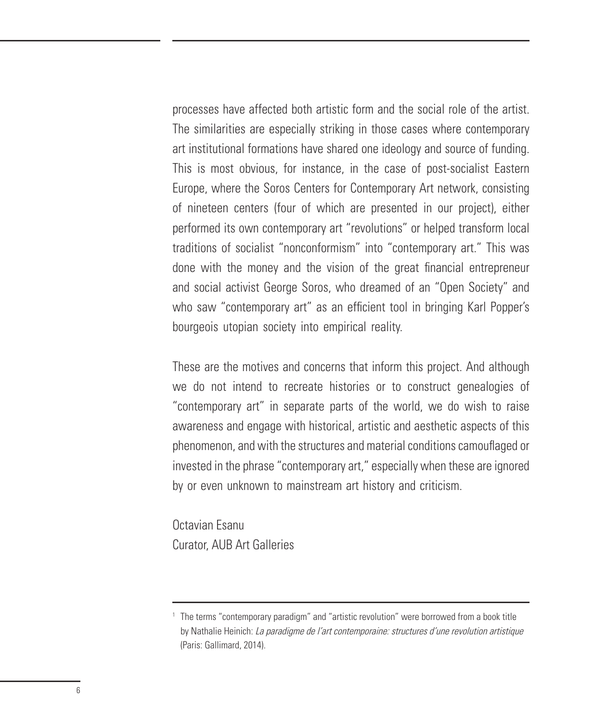processes have affected both artistic form and the social role of the artist. The similarities are especially striking in those cases where contemporary art institutional formations have shared one ideology and source of funding. This is most obvious, for instance, in the case of post-socialist Eastern Europe, where the Soros Centers for Contemporary Art network, consisting of nineteen centers (four of which are presented in our project), either performed its own contemporary art "revolutions" or helped transform local traditions of socialist "nonconformism" into "contemporary art." This was done with the money and the vision of the great fnancial entrepreneur and social activist George Soros, who dreamed of an "Open Society" and who saw "contemporary art" as an efficient tool in bringing Karl Popper's bourgeois utopian society into empirical reality.

These are the motives and concerns that inform this project. And although we do not intend to recreate histories or to construct genealogies of "contemporary art" in separate parts of the world, we do wish to raise awareness and engage with historical, artistic and aesthetic aspects of this phenomenon, and with the structures and material conditions camoufaged or invested in the phrase "contemporary art," especially when these are ignored by or even unknown to mainstream art history and criticism.

Octavian Esanu Curator, AUB Art Galleries

<sup>&</sup>lt;sup>1</sup> The terms "contemporary paradigm" and "artistic revolution" were borrowed from a book title by Nathalie Heinich: La paradigme de l'art contemporaine: structures d'une revolution artistique (Paris: Gallimard, 2014).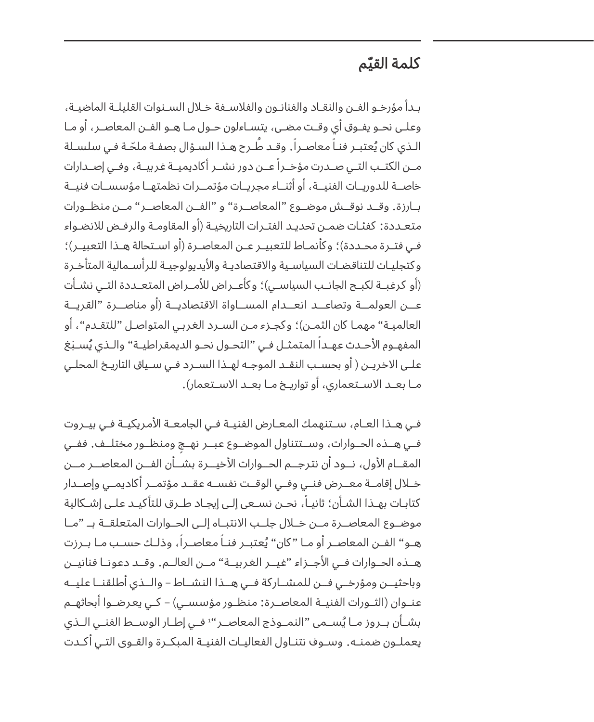# ّم كلمة القي

بــدأ مؤرخــو الفــن والنقــاد والفنانــون والفاســفة خــال الســنوات القليلــة الماضيــة، وعلــى نحــو يفــوق أي وقــت مضــى، يتســاءلون حــول مــا هــو الفــن المعاصــر، أو مــا الـذي كان يُعتبــر فنـا معاصــرا. وقــد طــرح هــذا الســؤال بصفـة ملحّـة فـي سلسـلة ֧֖֖֖֖֖֖֖֖֖֖֖֚֚֚֚֚֚֚֚֚֚֚֚֚֝֬**֓** مــن الكتــب التــي صــدرت مؤخــرا عــن دور نشــر أكاديميــة غربيــة، وفــي إصــدارات خاصــة للدوريــات الفنيـــة، أو أثنــاء مجريــات مؤتمــرات نظمتهــا مؤسســات فنيــة بـــارزة. وقـــد نوقـــش موضـــوع "المعاصـــرة" و "الفـــن المعاصـــر" مـــن منظـــورات متعـددة: كفئـات ضمـن تحديـد الفتـرات التاريخيـة )أو المقاومـة والرفـض لانضـواء فـي فتــرة محــددة)؛ وكأنمــاط للتعبيــر عــن المعاصـرة (أو اســتحالة هــذا التعبيــر)؛ وكتجليــات للتناقضــات السياســية والقتصاديــة واليديولوجيــة للرأســمالية المتأخــرة (أو كرغبــة لكبــح الجانــب السياســي)؛ وكأعــراض للأمــراض المتعــددة التــي نشــأت عـــن العولمـــة وتصاعـــد انعـــدام المســـاواة القتصاديـــة )أو مناصـــرة "القريـــة العالميـة" مهمـا كان الثمـن)؛ وكجـزء مـن السـرد الغربـي المتواصـل "للتقـدم"، أو المفهـوم الأحـدث عهــدا المتمثــل فـي "التحـول نحـو الديمقراطيــة" والـذي يُسـبَغ علــى الاخريــن ( أو بحســب النقــد الموجــه لهــذا الســرد فــي ســياق التاريــخ المحلــي مـــا بعـــد الســـتعماري، أو تواريـــخ مـــا بعـــد الســـتعمار(.

فــي هــذا العــام، ســتنهمك المعــارض الفنيــة فــي الجامعــة المريكيــة فــي بيــروت ٍ فـــي هـــذه الحـــوارات، وســـتتناول الموضـــوع عبـــر نهـــج ومنظـــور مختلـــف. ففـــي المقـــام الول، نـــود أن نترجـــم الحـــوارات الخيـــرة بشـــأن الفـــن المعاصـــر مـــن خـــال إقامـــة معـــرض فنـــي وفـــي الوقـــت نفســـه عقـــد مؤتمـــر أكاديمـــي وإصـــدار كتابـات بهــذا الشــأن؛ ثانيــا، نحــن نســعى إلـى إيجـاد طــرق للتأكيــد علــى إشــكالية موضـــوع المعاصـــرة مـــن خـــال جلـــب النتبـــاه إلـــى الحـــوارات المتعلقـــة بــ "مـــا هـو" الفــن المعاصــر أو مــا "كان" يُعتبــر فنــا معاصــرا، وذلــك حســب مــا بــرزت هـــذه الحـــوارات فـــي الجـــزاء "غيـــر الغربيـــة" مـــن العالـــم. وقـــد دعونـــا فنانيـــن وباحثيـــن ومؤرخـــي فـــن للمشـــاركة فـــي هـــذا النشـــاط – والـــذي أطلقنـــا عليـــه عنــوان (الثــورات الفنيــة المعاصــرة: منظــور مؤسســى) – كــي يعرضــوا أبحاثهــم بشــان بــروز مــا يُســمى "النمــوذج المعاصــر" فــي إطــار الوســط الفنــي الــذي يعملــون ضمنــه. وســوف نتنــاول الفعاليــات الفنيــة المبكــرة والقــوى التــي أكــدت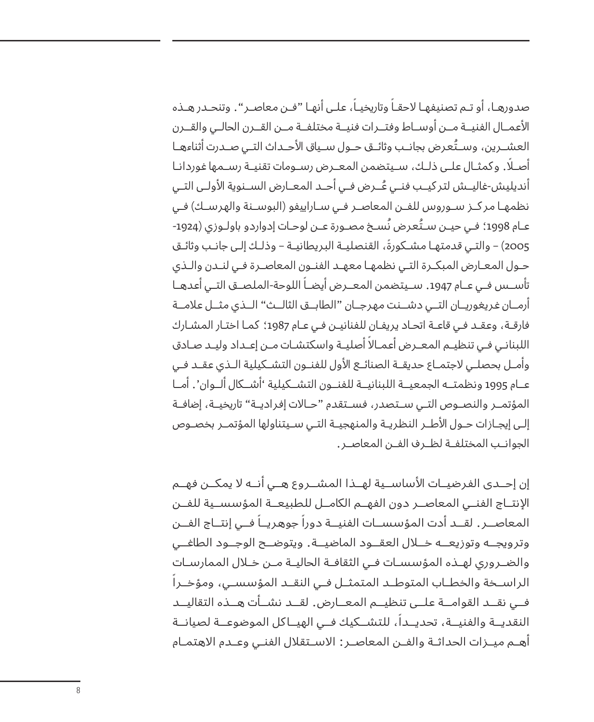صدورهــا، او تــم تصنيفهــا لاحقــا وتاريخيــا، علــى انهــا "فــن معاصــر ". وتنحــدر هــذه العمـــال الفنيـــة مـــن أوســـاط وفتـــرات فنيـــة مختلفـــة مـــن القـــرن الحالـــي والقـــرن ُ العشـــرين، وســـتعرض بجانـــب وثائـــق حـــول ســـياق الحـــداث التـــي صـــدرت أثناءهـــا ً أصـــا. وكمثـــال علـــى ذلـــك، ســـيتضمن المعـــرض رســـومات تقنيـــة رســـمها غوردانـــا ُ أنديليش-غاليـــش لتركيـــب فنـــي عـــرض فـــي أحـــد المعـــارض الســـنوية الولـــى التـــي نظمهـا مركــز ســوروس للفــن المعاصـر فــي سـاراييفو (البوســنة والهرسـك) فــي عــام 1998؛ فـي حيــن ســتُعرض نُسـخ مصـورة عــن لوحـات إدواردو باولـوزي (1924-2005 ً ( – والتــي قدمتهــا مشــكورة، القنصليــة البريطانيــة – وذلــك إلــى جانــب وثائــق حــول المعــارض المبكــرة التــي نظمهــا معهــد الفنــون المعاصــرة فــي لنــدن والــذي تأســس فــي عــام 1947. ســيتضمن المعـــرض أيضــا اللوحة-الملصــق التــي أعدهــا أرمـــان غريغوريـــان التـــي دشـــنت مهرجـــان "الطابـــق الثالـــث" الـــذي مثـــل عامـــة فارقـة، وعقـد فـي قاعـة اتحـاد يريفـان للفنانيـن فـي عـام 1987؛ كمـا اختـار المشـارك اللبنانـي فـي تنظيــم المعــرض أعمــالا أصليــة واسكتشـات مــن إعــداد وليــد صـادق وأمـــل بحصلـــي لجتمـــاع حديقـــة الصنائـــع الول للفنـــون التشـــكيلية الـــذي عقـــد فـــي عـــام 1995 ونظمتـــه الجمعيـــة اللبنانيـــة للفنـــون التشـــكيلية 'أشـــكال ألـــوان'. أمـــا المؤتمــر والنصـوص التــي ســتصدر، فســتقدم "حــالات إفراديــة" تاريخيــة، إضافــة إلـــى إيجـــازات حـــول الطـــر النظريـــة والمنهجيـــة التـــي ســـيتناولها المؤتمـــر بخصـــوص الجوانـــب المختلفـــة لظـــرف الفـــن المعاصـــر.

إن إحـــدى الفرضيـــات الساســـية لهـــذا المشـــروع هـــي أنـــه ل يمكـــن فهـــم النتـــاج الفنـــي المعاصـــر دون الفهـــم الكامـــل للطبيعـــة المؤسســـية للفـــن المعاصــر. لقــد أدت المؤسســات الفنيــة دوراً جوهريــاً فــي إنتــاج الفــن وترويجـــه وتوزيعـــه خـــال العقـــود الماضيـــة. ويتوضـــح الوجـــود الطاغـــي والضـــروري لهـــذه المؤسســـات فـــي الثقافـــة الحاليـــة مـــن خـــال الممارســـات الراســـخة والخطـــاب المتوطـــد المتمثـــل فـــي النقـــد المؤسســـي، ومؤخـــرا فـــي نقـــد القوامـــة علـــى تنظيـــم المعـــارض. لقـــد نشـــأت هـــذه التقاليـــد النقديــة والفنيــة، تحديــداً، للتشــكيك فــى الهيــاكل الموضوعــة لصيانــة أهـــم ميـــزات الحداثـــة والفـــن المعاصـــر: الســـتقال الفنـــي وعـــدم الهتمـــام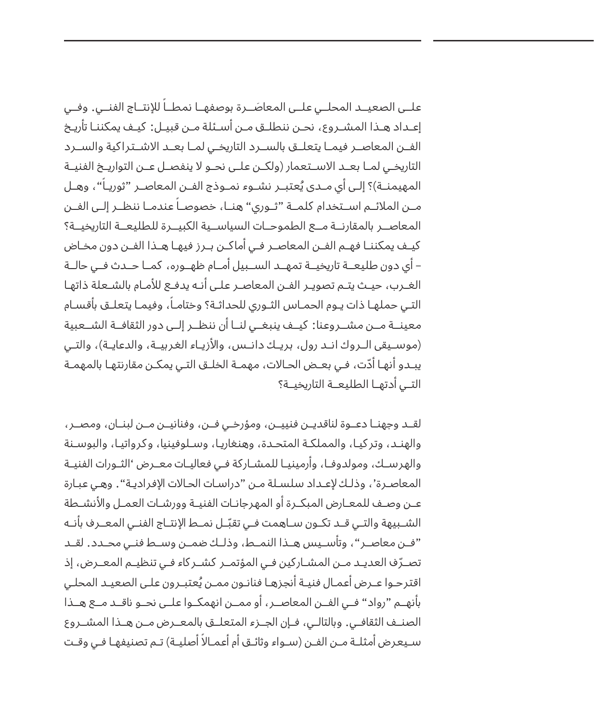علــى الصعيـــد المحلــي علــى المعاصَــرة بوصفهــا نمطــا للإنتــاج الفنــي. وفــي إعــداد هــذا المشــروع، نحــن ننطلــق مــن أســئلة مــن قبيــل: كيــف يمكننــا تأريــخ الفـــن المعاصـــر فيمـــا يتعلـــق بالســـرد التاريخـــي لمـــا بعـــد الشـــتراكية والســـرد التاريخــي لمــا بعــد الاســتعمار (ولكــن علــى نحــو لا ينفصــل عــن التواريــخ الفنيــة المهيمنــة)؟ إلـى أي مــدى يُعتبــر نشــوء نمــوذج الفــن المعاصــر "ثوريـا"، وهــل مــن الملائــم اســتخدام كلمــة "ثــوري" هنــا، خصوصـا عندمـا ننظــر إلــى الفــن المعاصـــر بالمقارنـــة مـــع الطموحـــات السياســـية الكبيـــرة للطليعـــة التاريخيـــة؟ كيــف يمكننــا فهــم الفــن المعاصــر فــي أماكــن بــرز فيهــا هــذا الفــن دون مخــاض – أي دون طليعـــة تاريخيـــة تمهـــد الســـبيل أمـــام ظهـــوره، كمـــا حـــدث فـــي حالـــة الغــرب، حيــث يتــم تصويــر الفــن المعاصــر علــى أنــه يدفــع للمــام بالشــعلة ذاتهــا التـي حملهـا ذات يـوم الحمـاس الثـوري للحداثـة؟ وختامـا، وفيمـا يتعلـق بأقسـام معينـــة مـــن مشـــروعنا: كيـــف ينبغـــي لنـــا أن ننظـــر إلـــى دور الثقافـــة الشـــعبية (موســيقى الــروك انــد رول، بريــك دانــس، والأزيــاء الغربيــة، والدعايــة)، والتــي ّ يبـدو أنهـا أدت، فـي بعـض الحـالت، مهمـة الخلـق التـي يمكـن مقارنتهـا بالمهمـة التـــي أدتهـــا الطليعـــة التاريخيـــة؟

لقـــد وجهنـــا دعـــوة لناقديـــن فنييـــن، ومؤرخـــي فـــن، وفنانيـــن مـــن لبنـــان، ومصـــر، والهنـد، وتركيـا، والمملكـة المتحـدة، وهنغاريـا، وسـلوفينيا، وكرواتيـا، والبوسـنة والهرســك، ومولدوفــا، وأرمينيــا للمشــاركة فــى فعاليــات معــرض 'الثــورات الفنيــة المعاصـرة'، وذلـك لعـداد سلسـلة مـن "دراسـات الحـالت الفراديـة". وهـي عبـارة عـــن وصـــف للمعـــارض المبكـــرة أو المهرجانـــات الفنيـــة وورشـــات العمـــل والنشـــطة الشــبيهة والتــي قــد تكــون ســاهمت فـي تقبّــل نمــط الإنتــاج الفنــي المعـــرف بانــه "فـــن معاصـــر"، وتأســـيس هـــذا النمـــط، وذلـــك ضمـــن وســـط فنـــي محـــدد. لقـــد تصــرّف العديــد مــن المشــاركين فــي المؤتمــر كشــر كاء فــي تنظيــم المعــرض، إذ **.** اقترحـوا عــرض اعمـال فنيــة انجزهـا فنانـون ممــن يُعتبــرون علـى الصعيـد المحلـي بأنهـــم "رواد" فـــي الفـــن المعاصـــر، أو ممـــن انهمكـــوا علـــى نحـــو ناقـــد مـــع هـــذا الصنـــف الثقافـــي. وبالتالـــي، فـــإن الجـــزء المتعلـــق بالمعـــرض مـــن هـــذا المشـــروع سـيعرض أمثلــة مــن الفــن (ســواء وثائــق أم أعمــالا أصليــة) تــم تصنيفهـا فـي وقــت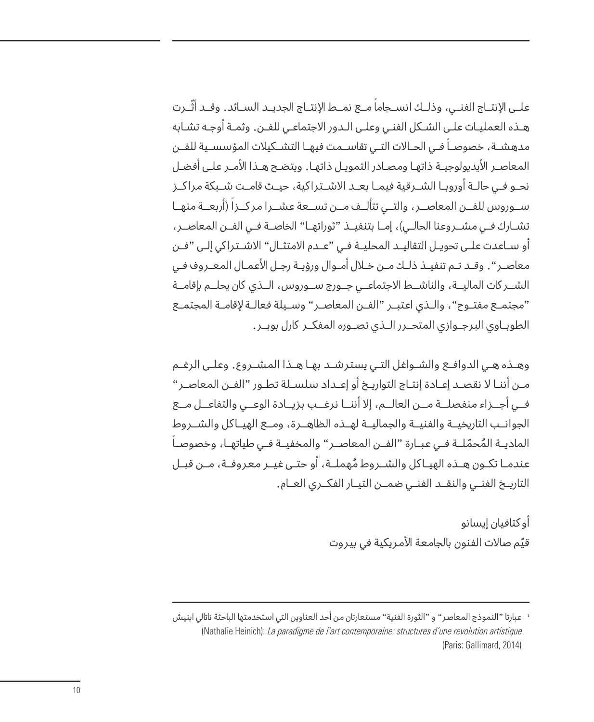علــى الإنتــاج الفنــى، وذلــك انســجاما مــع نمــط الإنتــاج الجديــد الســائد. وقــد اثــرت هــذه العمليــات علــى الشــكل الفنــي وعلــى الــدور الجتماعــي للفــن. وثمــة أوجــه تشــابه مدهشــة، خصوصــا فــي الحــالات التــي تقاســمت فيهـا التشــكيلات المؤسســية للفــن المعاصــر اليديولوجيــة ذاتهــا ومصــادر التمويــل ذاتهــا. ويتضــح هــذا المــر علــى أفضــل نحــو فــى حالــة أوروبــا الشــرقية فيمــا بعــد الاشــتراكية، حيــث قامــت شــبكة مراكــز ســوروس للفــن المعاصــر، والتــى تتالــف مــن تســعة عشــرا مركــزا (اربعــة منهــا تشــارك فــي مشــروعنا الحالــي)، إمــا بتنفيــذ "ثوراتهــا" الخاصــة فــي الفــن المعاصــر، أو ســاعدت علــى تحويــل التقاليــد المحليــة فــى "عــدم الامتثــال" الاشــتراكي إلـى "فــن معاصــر". وقــد تــم تنفيــذ ذلــك مــن خــال أمــوال ورؤيــة رجــل العمــال المعــروف فــي الشـــركات الماليـــة، والناشـــط الجتماعـــي جـــورج ســـوروس، الـــذي كان يحلـــم بإقامـــة "مجتمـــع مفتـــوح"، والـــذي اعتبـــر "الفـــن المعاصـــر" وســـيلة فعالـــة لقامـــة المجتمـــع الطوبـــاوي البرجـــوازي المتحـــرر الـــذي تصـــوره المفكـــر كارل بوبـــر.

وهــذه هــي الدوافــع والشــواغل التــي يسترشــد بهــا هــذا المشــروع. وعلــى الرغــم مــن أننــا ل نقصــد إعــادة إنتــاج التواريــخ أو إعــداد سلســلة تطــور "الفــن المعاصــر" فـــي أجـــزاء منفصلـــة مـــن العالـــم، إل أننـــا نرغـــب بزيـــادة الوعـــي والتفاعـــل مـــع الجوانـــب التاريخيـــة والفنيـــة والجماليـــة لهـــذه الظاهـــرة، ومـــع الهيـــاكل والشـــروط المستخدم المستخدم المستخدم المستخدم المستخدم المستخدم المستخدم المستخدم المستخدم المستخدم المستخدم المستخدم ال<br>والمستخدم المستخدم المستخدم المستخدم المستخدم المستخدم المستخدم المستخدم المستخدم المستخدم المستخدم المستخدم ا الماديــة المُحمّلــة فــي عبــارة "الفــن المعاصــر" والمخفيــة فــي طياتهـا، وخصوصـا ُ ُ عندمـــا تكـــون هـــذه الهيـــاكل والشـــروط مهملـــة، أو حتـــى غيـــر معروفـــة، مـــن قبـــل التاريـــخ الفنـــي والنقـــد الفنـــي ضمـــن التيـــار الفكـــري العـــام.

> أوكتافيان إيسانو قيّم صالات الفنون بالجامعة الامريكية في بيروت

<sup>1</sup> عبارتا "النموذج المعاصر" و "الثورة الفنية" مستعارتان من أحد العناوين التي استخدمتها الباحثة ناتالي اينيش (Nathalie Heinich): La paradigme de l'art contemporaine: structures d'une revolution artistique (Paris: Gallimard, 2014)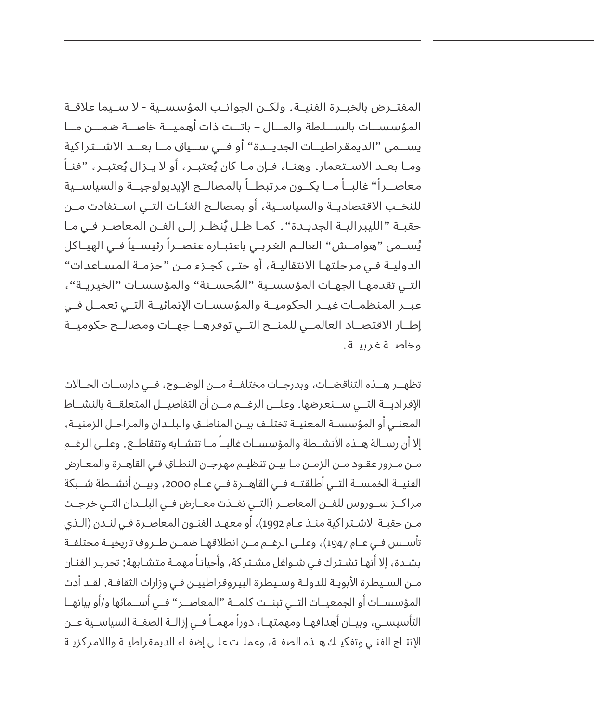المفتـــرض بالخبـــرة الفنيـــة. ولكـــن الجوانـــب المؤسســـية - ل ســـيما عاقـــة المؤسســـات بالســـلطة والمـــال – باتـــت ذات أهميـــة خاصـــة ضمـــن مـــا يســـمى "الديمقراطيـــات الجديـــدة" أو فـــي ســـياق مـــا بعـــد الشـــتراكية ومـا بعــد الاســتعمار. وهنـا، فـإن مـا كان يُعتبــر، او لا يــزال يُعتبــر، "فنـا معاصــرا" غالبــا مــا يكــون مرتبطــا بالمصالــح الإيديولوجيــة والسياســية للنخـــب القتصاديـــة والسياســـية، أو بمصالـــح الفئـــات التـــي اســـتفادت مـــن حقبــة "الليبراليــة الجديــدة". كمـا ظـل يُنظــر إلـى الفــن المعاصــر فـي مـا يُســمى "هوامــش" العالــم الغربـي باعتبــاره عنصــرا رئيســيا فــي الهيــاكل الدوليــة فــي مرحلتهــا النتقاليــة، أو حتــى كجــزء مــن "حزمــة المســاعدات" ُ التـــي تقدمهـــا الجهـــات المؤسســـية "المحســـنة" والمؤسســـات "الخيريـــة"، عبـــر المنظمـــات غيـــر الحكوميـــة والمؤسســـات النمائيـــة التـــي تعمـــل فـــي إطـــار القتصـــاد العالمـــي للمنـــح التـــي توفرهـــا جهـــات ومصالـــح حكوميـــة وخاصـــة غربيـــة.

تظهـــر هـــذه التناقضـــات، وبدرجـــات مختلفـــة مـــن الوضـــوح، فـــي دارســـات الحـــالت الفراديـــة التـــي ســـنعرضها. وعلـــى الرغـــم مـــن أن التفاصيـــل المتعلقـــة بالنشـــاط المعنـــي أو المؤسســـة المعنيـــة تختلـــف بيـــن المناطـــق والبلـــدان والمراحـــل الزمنيـــة، إلا أن رســالة هــذه الأنشــطة والمؤسســات غالبــا مــا تتشــابه وتتقاطــع. وعلــى الرغــم مــن مــرور عقــود مــن الزمــن مــا بيــن تنظيــم مهرجــان النطــاق فــي القاهــرة والمعــارض الفنيـــة الخمســـة التـــي أطلقتـــه فـــي القاهـــرة فـــي عـــام ،2000 وبيـــن أنشـــطة شـــبكة مراكـــز ســـوروس للفـــن المعاصـــر )التـــي نفـــذت معـــارض فـــي البلـــدان التـــي خرجـــت مــن حقبــة الاشــتراكية منــذ عــام 1992)، أو معهــد الفنــون المعاصـرة فـي لنــدن (الــذي تأســـس فــى عــام 1947)، وعلــى الرغــم مــن انطلاقهــا ضمــن ظــروف تاريخيــة مختلفــة بشـدة، إلا أنهـا تشـترك فـي شـواغل مشـتر كة، وأحيانـا مهمـة متشـابهة: تحريـر الفنـان مــن الســيطرة البويــة للدولــة وســيطرة البيروقراطييــن فــي وزارات الثقافــة. لقــد أدت المؤسســـات أو الجمعيـــات التـــي تبنـــت كلمـــة "المعاصـــر" فـــي أســـمائها و/أو بيانهـــا التأسيســي، وبيــان أهدافهــا ومهمتهــا، دورا مهمــا فــى إزالــة الصفــة السياســية عــن الإنتــاج الفنــى وتفكيــك هــذه الصفــة، وعملــت علــى إضفــاء الديمقراطيــة واللامر كزيــة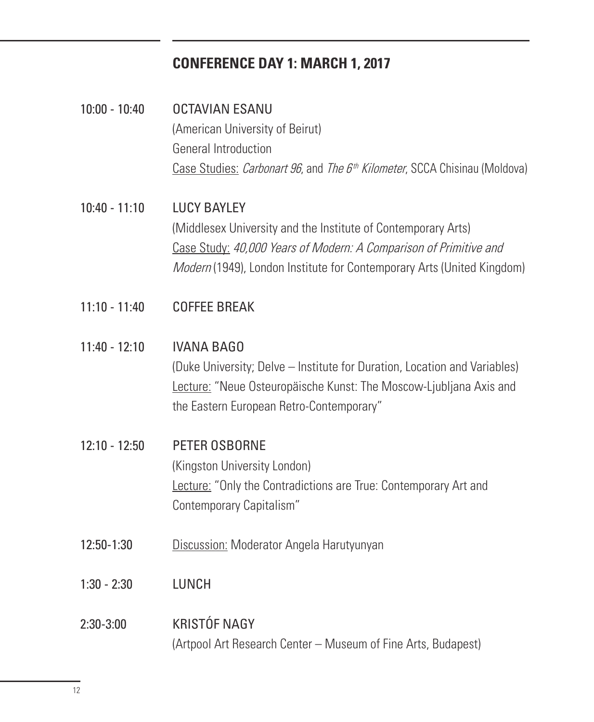# **CONFERENCE DAY 1: MARCH 1, 2017**

10:00 - 10:40 OCTAVIAN ESANU (American University of Beirut) General Introduction Case Studies: *Carbonart 96*, and *The 6<sup>th</sup> Kilometer*, SCCA Chisinau (Moldova)

10:40 - 11:10 LUCY BAYLEY (Middlesex University and the Institute of Contemporary Arts) Case Study: 40,000 Years of Modern: A Comparison of Primitive and Modern (1949), London Institute for Contemporary Arts (United Kingdom)

- $11:10 11:40$ COFFEE BREAK
- $11:40 12:10$ IVANA BAGO

(Duke University; Delve – Institute for Duration, Location and Variables) Lecture: "Neue Osteuropäische Kunst: The Moscow-Ljubljana Axis and the Eastern European Retro-Contemporary"

### 12:10 - 12:50 PETER OSBORNE (Kingston University London) Lecture: "Only the Contradictions are True: Contemporary Art and Contemporary Capitalism"

- 12:50-1:30 Discussion: Moderator Angela Harutyunyan
- 1:30 2:30 LUNCH

#### 2:30-3:00 KRISTÓF NAGY (Artpool Art Research Center – Museum of Fine Arts, Budapest)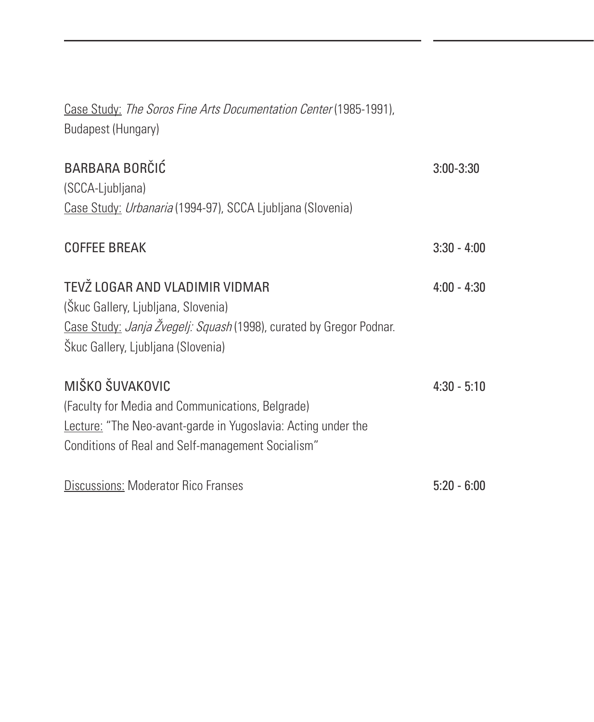| Case Study: The Soros Fine Arts Documentation Center (1985-1991),<br><b>Budapest (Hungary)</b>                                                                                            |               |
|-------------------------------------------------------------------------------------------------------------------------------------------------------------------------------------------|---------------|
| <b>BARBARA BORČIĆ</b><br>(SCCA-Ljubljana)<br>Case Study: Urbanaria (1994-97), SCCA Ljubljana (Slovenia)                                                                                   | $3:00 - 3:30$ |
| <b>COFFEE BREAK</b>                                                                                                                                                                       | $3:30 - 4:00$ |
| TEVŽ LOGAR AND VLADIMIR VIDMAR<br>(Škuc Gallery, Ljubljana, Slovenia)<br>Case Study: Janja Žvegelj: Squash (1998), curated by Gregor Podnar.<br>Škuc Gallery, Ljubljana (Slovenia)        | $4:00 - 4:30$ |
| MIŠKO ŠUVAKOVIC<br>(Faculty for Media and Communications, Belgrade)<br>Lecture: "The Neo-avant-garde in Yugoslavia: Acting under the<br>Conditions of Real and Self-management Socialism" | $4:30 - 5:10$ |
| <b>Discussions: Moderator Rico Franses</b>                                                                                                                                                | $5:20 - 6:00$ |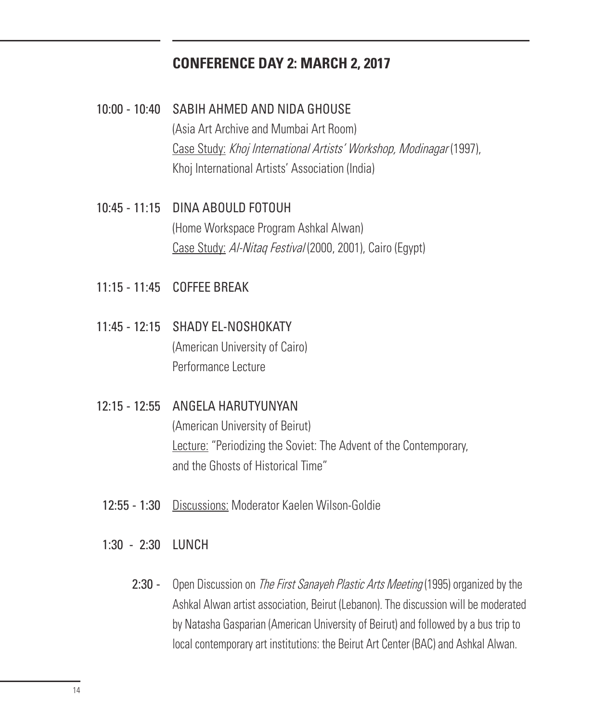### **CONFERENCE DAY 2: MARCH 2, 2017**

- 10:00 10:40 SABIH AHMED AND NIDA GHOUSE (Asia Art Archive and Mumbai Art Room) Case Study: Khoj International Artists' Workshop, Modinagar (1997), Khoj International Artists' Association (India)
- 10:45 11:15 DINA ABOULD FOTOUH (Home Workspace Program Ashkal Alwan) Case Study: Al-Nitaq Festival (2000, 2001), Cairo (Egypt)
- 11:15 11:45 COFFEE BREAK
- 11:45 12:15 SHADY EL-NOSHOKATY (American University of Cairo) Performance Lecture
- 12:15 12:55 ANGELA HARUTYUNYAN

(American University of Beirut) Lecture: "Periodizing the Soviet: The Advent of the Contemporary, and the Ghosts of Historical Time"

- 12:55 1:30 Discussions: Moderator Kaelen Wilson-Goldie
- 1:30 2:30 LUNCH
	- 2:30 Open Discussion on *The First Sanayeh Plastic Arts Meeting* (1995) organized by the Ashkal Alwan artist association, Beirut (Lebanon). The discussion will be moderated by Natasha Gasparian (American University of Beirut) and followed by a bus trip to local contemporary art institutions: the Beirut Art Center (BAC) and Ashkal Alwan.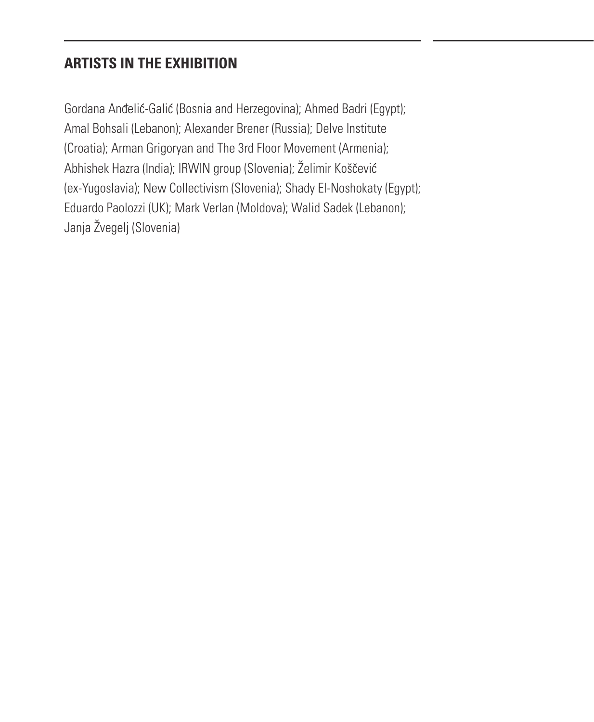# **ARTISTS IN THE EXHIBITION**

Gordana Andelic-Galic (Bosnia and Herzegovina); Ahmed Badri (Egypt); Amal Bohsali (Lebanon); Alexander Brener (Russia); Delve Institute (Croatia); Arman Grigoryan and The 3rd Floor Movement (Armenia); Abhishek Hazra (India); IRWIN group (Slovenia); Želimir Koščević (ex-Yugoslavia); New Collectivism (Slovenia); Shady El-Noshokaty (Egypt); Eduardo Paolozzi (UK); Mark Verlan (Moldova); Walid Sadek (Lebanon); Janja Žvegelj (Slovenia)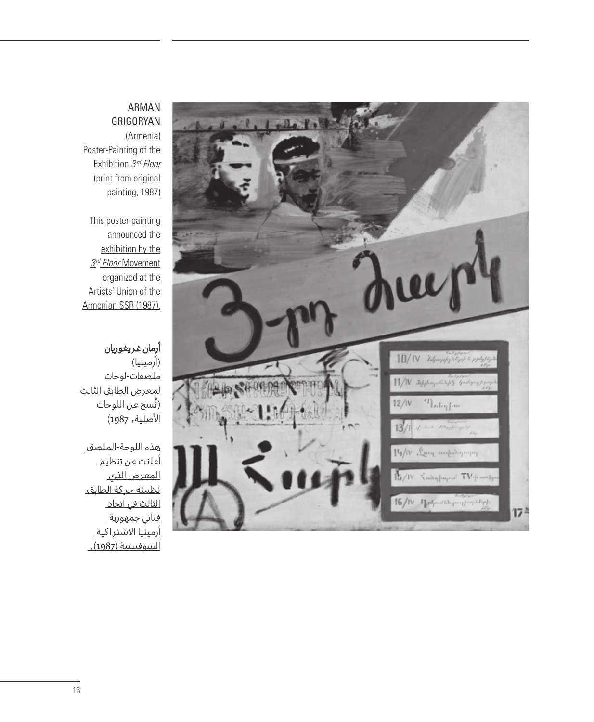#### ARMAN GRIGORYAN

(Armenia) Poster-Painting of the Exhibition 3rd Floor (print from original painting, 1987)

#### This poster-painting

announced the exhibition by the 3<sup>rd</sup> Floor Movement organized at the Artists' Union of the Armenian SSR (1987).

### أرمان غريغوريان

(أرمينيا) ملصقات-لوحات لمعرض الطابق الثالث (نُسخ عن اللوحات الأصلية، 1987)

هذه اللوحة-الملصق أعلنت عن تنظيم المعرض الذي نظمته حركة الطابق الثالث في اتحاد فناني جمهورية أرمينيا الشتراكية <u>السوفييتية (1987).</u>

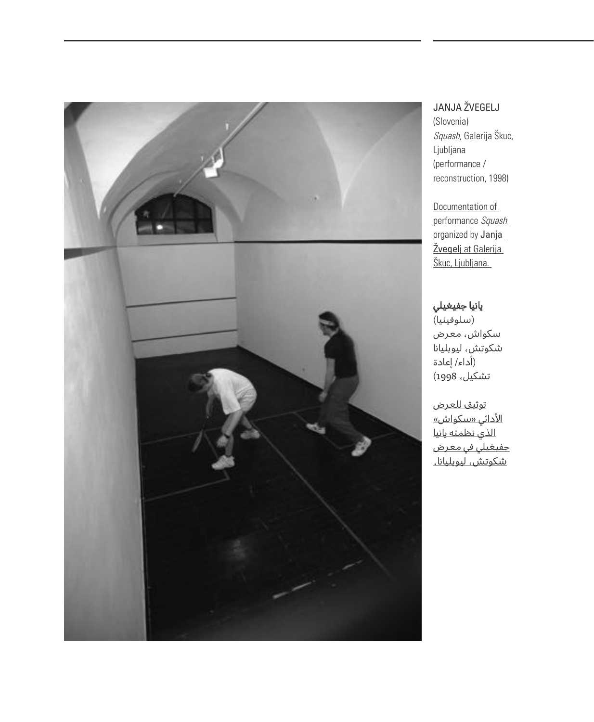

### JANJA ŽVEGELJ

(Slovenia) .<br>*Squash*, Galerija Škuc, Ljubljana (performance / reconstruction, 1998)

Documentation of performance Squash organized by Janja Žvegelj at Galerija Škuc, Ljubljana.

### يانيا جفيغيلي

،<br>(سلوفينيا) سكواش، معرض شكوتش، ليوبليانا )أداء/ إعادة تشكيل، 1998)

توثيق للعرض ا<u>لأدائي «سكواش»</u> الذي نظمته يانيا جفيغيلي في معرض .<br><u>شكوتش، ليوبليانا.</u>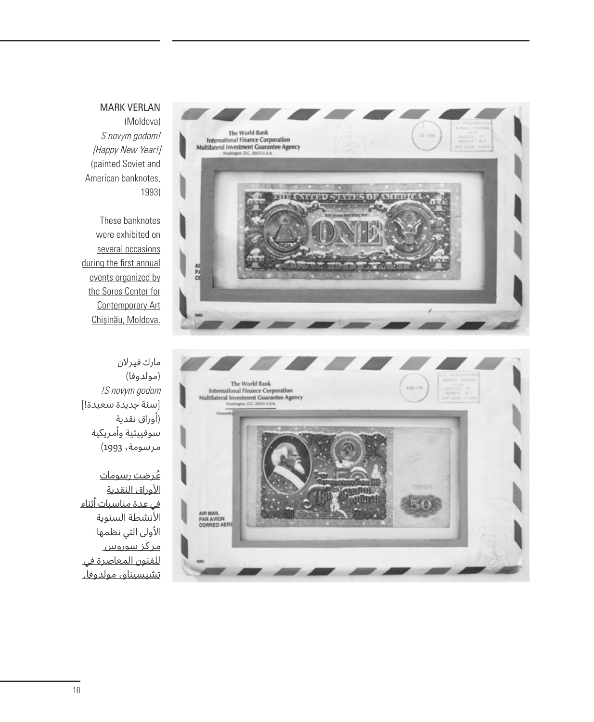#### MARK VERLAN

The World Bank **International Finance Corporation** Multilateral Investment Guarantee Agency

(Moldova) S novym godom! [Happy New Year!] (painted Soviet and American banknotes, 1993)

These banknotes were exhibited on several occasions during the first annual events organized by the Soros Center for Contemporary Art Chisinău, Moldova.



**IN INTERUSTIVES DE MERCH** 

مارك فيرلن (مولدوفا) !S novym godom ]سنة جديدة سعيدة![ )أوراق نقدية سوفييتية وأمريكية مرسومة، 1993)

ُعرضت رسومات الأور<u>اق النقدية</u> في عدة مناسبات أثناء النشطة السنوية الأولى التي نظمه<u>ا</u> مركز سوروس للفنون المعاصرة في تشيسيناو، مولدوفا.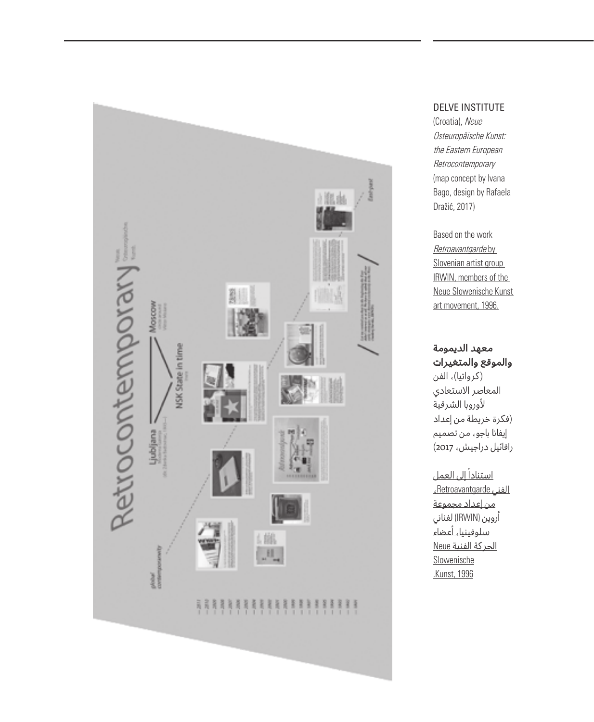

#### DELVE INSTITUTE

(Croatia), Neue Osteuropäische Kunst: the Eastern European **Retrocontemporary** (map concept by Ivana Bago, design by Rafaela Dražic, 2017)

Based on the work Retroavantgarde by Slovenian artist group IRWIN, members of the Neue Slowenische Kunst art movement, 1996.

#### معهد الديمومة والموقع والمتغيرات

(كرواتيا)، الفن المعاصر الستعادي لوروبا الشرقية )فكرة خريطة من إعداد إيفانا باجو، من تصميم رافائيل دراجيش، 2017)

<u>استنادا إلى العمل</u> الفني Retroavantgarde، من إعداد مجموعة أروين (IRWIN (لفناني .<br><u>سلوفينيا، أعضاء</u> الحركة الفنية Neue Slowenische .Kunst, 1996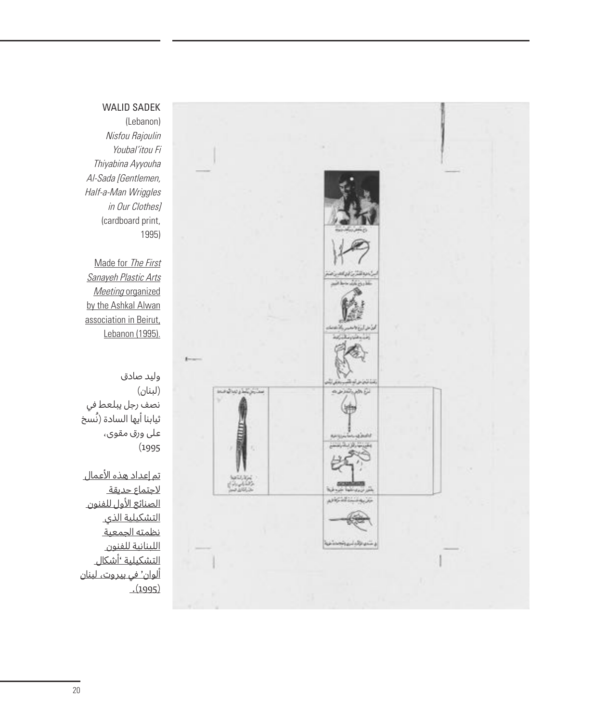#### WALID SADEK

(Lebanon) Nisfou Rajoulin Youbal'itou Fi Thiyabina Ayyouha Al-Sada [Gentlemen, Half-a-Man Wriggles in Our Clothes] (cardboard print, 1995)

Made for The First Sanayeh Plastic Arts Meeting organized by the Ashkal Alwan association in Beirut, Lebanon (1995).

وليد صادق )لبنان( نصف رجل يبلعط في .<br>ثيابنا أيها السادة (نُسخ على ورق مقوى، )1995

تم إعداد هذه العمال ر.<br>لاحت<u>ماع حديقة</u> الصنائع الول للفنون التشكيلية الذي .<br><u>نظمته الجمعية</u> اللبنانية للفنون التشكيلية 'أشكال ألوان' في بيروت، لبنان  $(1995)$ 

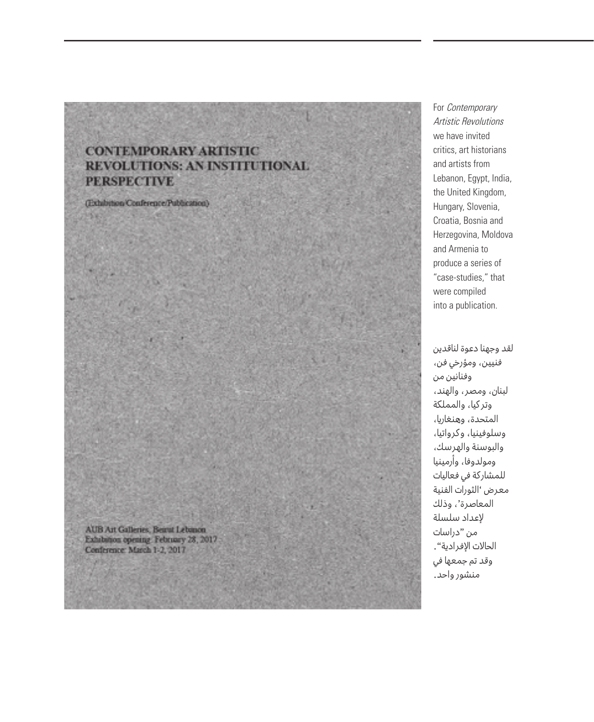### **CONTEMPORARY ARTISTIC** REVOLUTIONS: AN INSTITUTIONAL **PERSPECTIVE**

(Exhibition/Conference/Publication)

For Contemporary Artistic Revolutions we have invited critics, art historians and artists from Lebanon, Egypt, India, the United Kingdom, Hungary, Slovenia, Croatia, Bosnia and Herzegovina, Moldova and Armenia to produce a series of "case-studies," that were compiled into a publication.

لقد وجهنا دعوة لناقدين فنيين، ومؤرخي فن، وفنانين من لبنان، ومصر، والهند، وتركيا، والمملكة المتحدة، وهنغاريا، وسلوفينيا، وكرواتيا، والبوسنة والهرسك، ومولدوفا، وأرمينيا للمشاركة في فعاليات معرض 'الثورات الفنية المعاصرة'، وذلك لعداد سلسلة من "دراسات الحالت الفرادية". وقد تم جمعها في منشور واحد.

AUB Art Galleries, Beirut Lebmon. Exhibition opening February 28, 2017 Conference March 1-2, 2017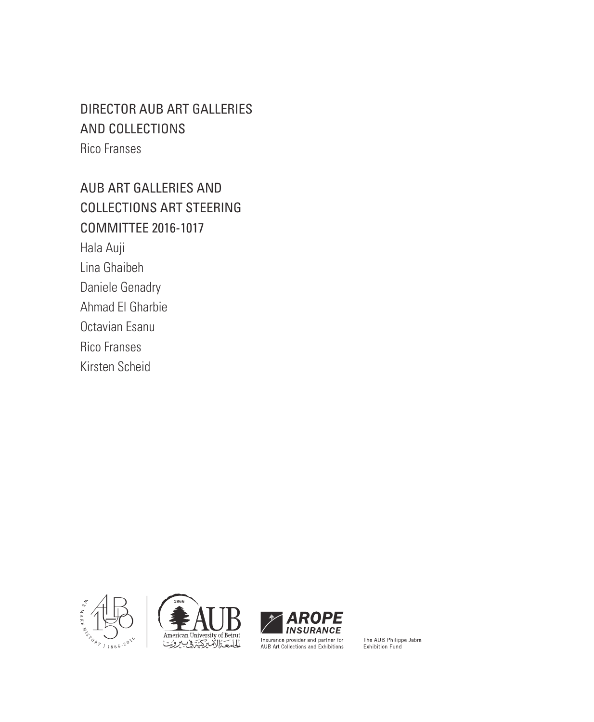# DIRECTOR AUB ART GALLERIES AND COLLECTIONS Rico Franses

AUB ART GALLERIES AND COLLECTIONS ART STEERING COMMITTEE 2016-1017 Hala Auji Lina Ghaibeh Daniele Genadry Ahmad El Gharbie Octavian Esanu Rico Franses Kirsten Scheid







The AUB Philippe Jabre Exhibition Fund